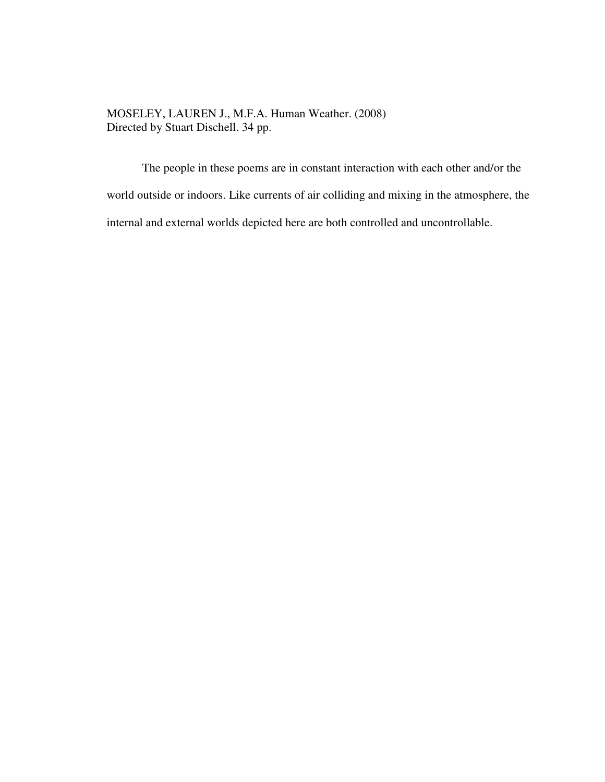MOSELEY, LAUREN J., M.F.A. Human Weather. (2008) Directed by Stuart Dischell. 34 pp.

The people in these poems are in constant interaction with each other and/or the world outside or indoors. Like currents of air colliding and mixing in the atmosphere, the internal and external worlds depicted here are both controlled and uncontrollable.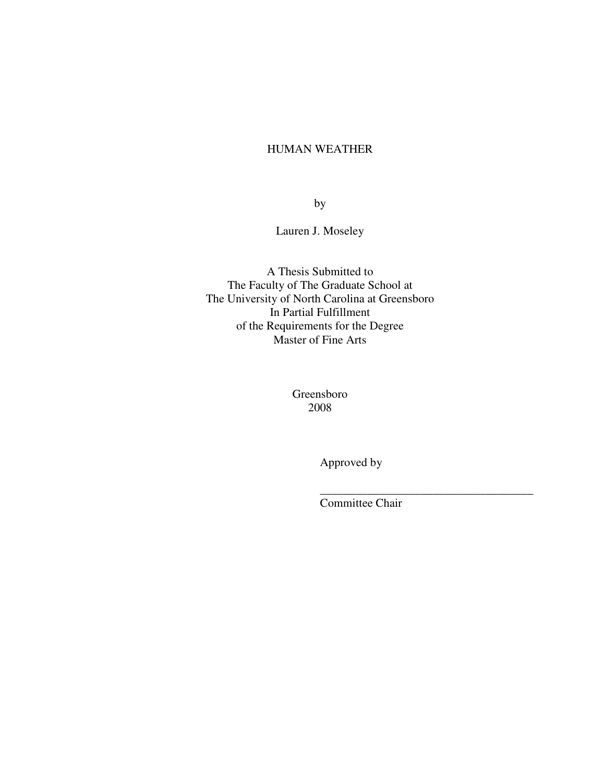# HUMAN WEATHER

by

Lauren J. Moseley

A Thesis Submitted to The Faculty of The Graduate School at The University of North Carolina at Greensboro In Partial Fulfillment of the Requirements for the Degree Master of Fine Arts

> Greensboro 2008

 $\overline{\phantom{a}}$  , which is a set of the contract of the contract of the contract of the contract of the contract of the contract of the contract of the contract of the contract of the contract of the contract of the contract

Approved by

Committee Chair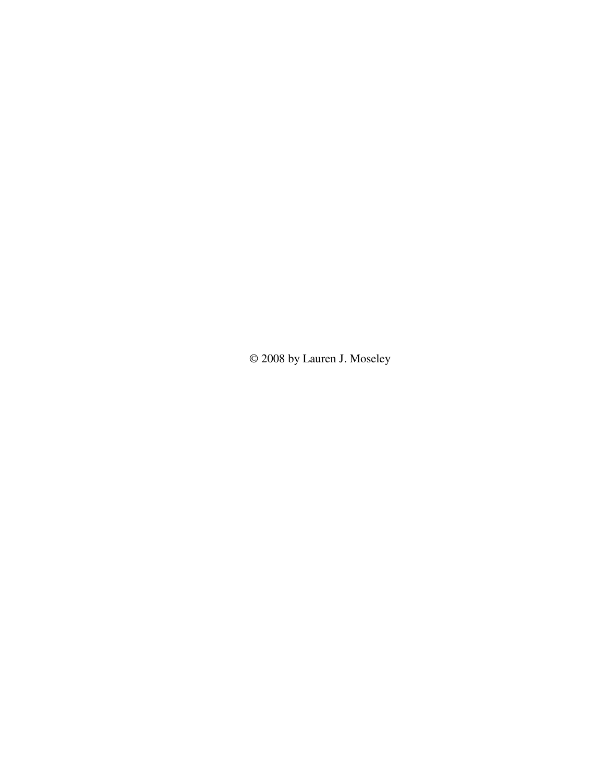© 2008 by Lauren J. Moseley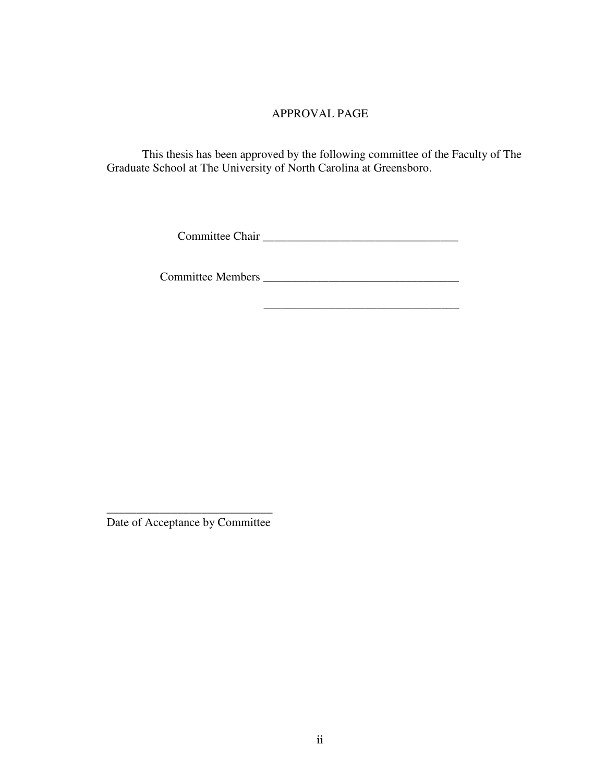# APPROVAL PAGE

This thesis has been approved by the following committee of the Faculty of The Graduate School at The University of North Carolina at Greensboro.

Committee Chair \_\_\_\_\_\_\_\_\_\_\_\_\_\_\_\_\_\_\_\_\_\_\_\_\_\_\_\_\_\_\_\_\_

 $\frac{1}{\sqrt{2}}$  ,  $\frac{1}{\sqrt{2}}$  ,  $\frac{1}{\sqrt{2}}$  ,  $\frac{1}{\sqrt{2}}$  ,  $\frac{1}{\sqrt{2}}$  ,  $\frac{1}{\sqrt{2}}$  ,  $\frac{1}{\sqrt{2}}$  ,  $\frac{1}{\sqrt{2}}$  ,  $\frac{1}{\sqrt{2}}$  ,  $\frac{1}{\sqrt{2}}$  ,  $\frac{1}{\sqrt{2}}$  ,  $\frac{1}{\sqrt{2}}$  ,  $\frac{1}{\sqrt{2}}$  ,  $\frac{1}{\sqrt{2}}$  ,  $\frac{1}{\sqrt{2}}$ 

Committee Members \_\_\_\_\_\_\_\_\_\_\_\_\_\_\_\_\_\_\_\_\_\_\_\_\_\_\_\_\_\_\_\_\_

\_\_\_\_\_\_\_\_\_\_\_\_\_\_\_\_\_\_\_\_\_\_\_\_\_\_\_\_ Date of Acceptance by Committee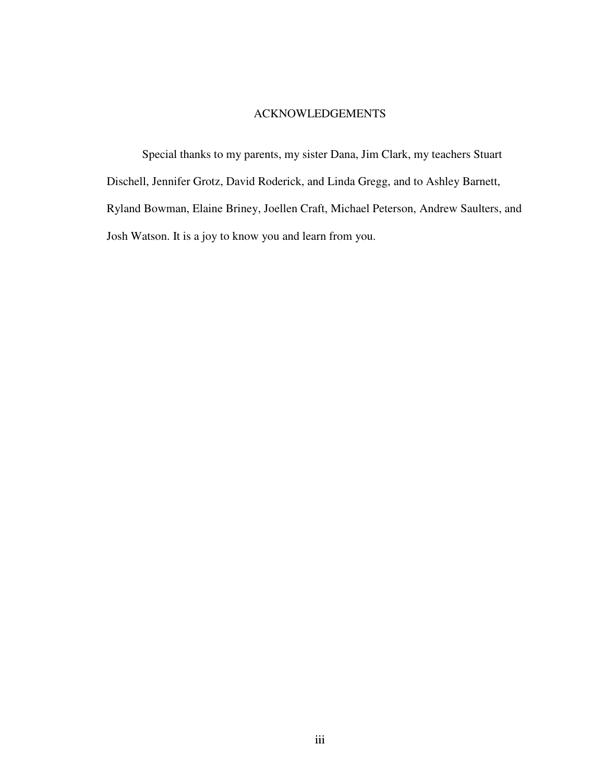# ACKNOWLEDGEMENTS

Special thanks to my parents, my sister Dana, Jim Clark, my teachers Stuart Dischell, Jennifer Grotz, David Roderick, and Linda Gregg, and to Ashley Barnett, Ryland Bowman, Elaine Briney, Joellen Craft, Michael Peterson, Andrew Saulters, and Josh Watson. It is a joy to know you and learn from you.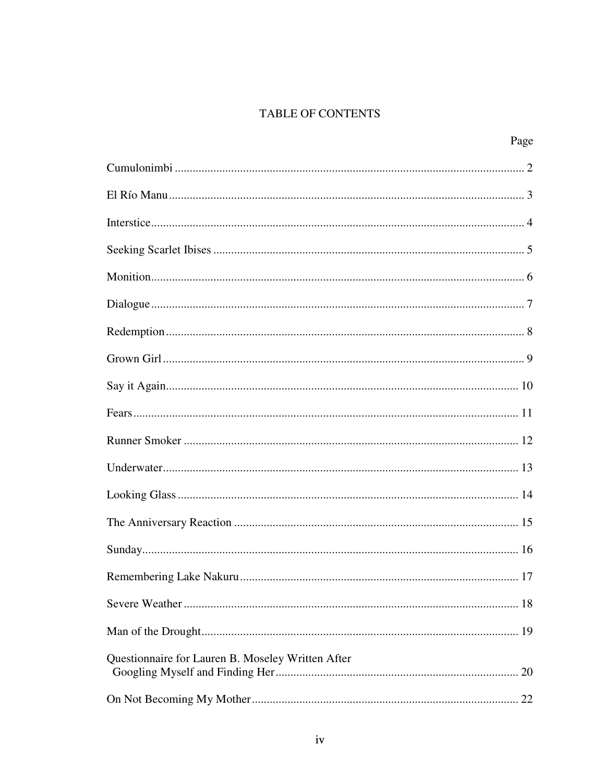# TABLE OF CONTENTS

Page

| Questionnaire for Lauren B. Moseley Written After |  |
|---------------------------------------------------|--|
|                                                   |  |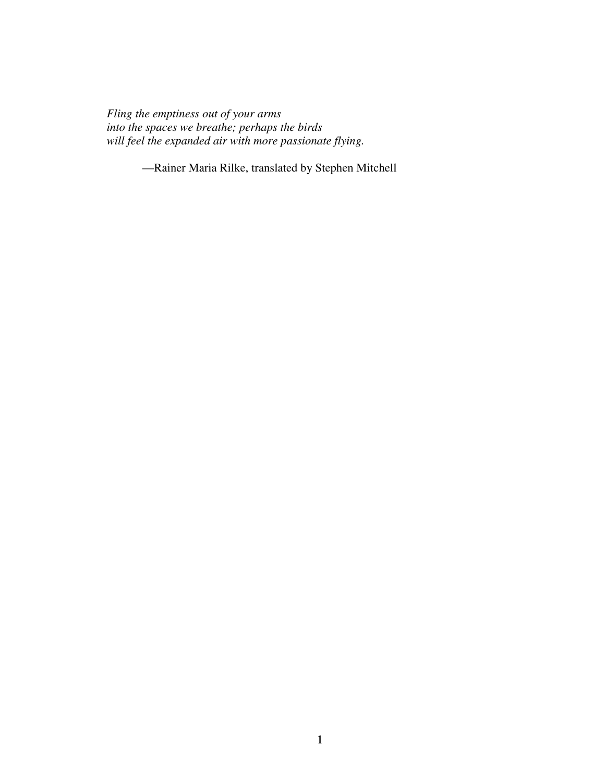*Fling the emptiness out of your arms into the spaces we breathe; perhaps the birds will feel the expanded air with more passionate flying.* 

—Rainer Maria Rilke, translated by Stephen Mitchell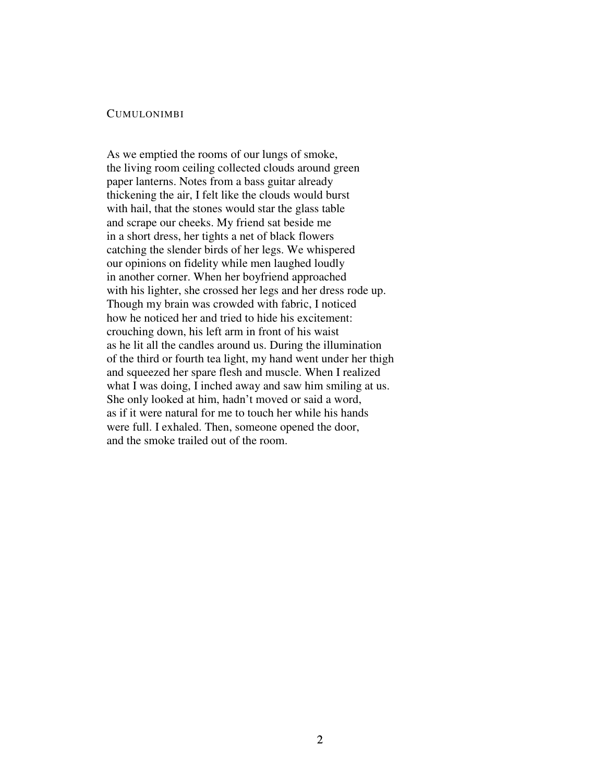#### CUMULONIMBI

As we emptied the rooms of our lungs of smoke, the living room ceiling collected clouds around green paper lanterns. Notes from a bass guitar already thickening the air, I felt like the clouds would burst with hail, that the stones would star the glass table and scrape our cheeks. My friend sat beside me in a short dress, her tights a net of black flowers catching the slender birds of her legs. We whispered our opinions on fidelity while men laughed loudly in another corner. When her boyfriend approached with his lighter, she crossed her legs and her dress rode up. Though my brain was crowded with fabric, I noticed how he noticed her and tried to hide his excitement: crouching down, his left arm in front of his waist as he lit all the candles around us. During the illumination of the third or fourth tea light, my hand went under her thigh and squeezed her spare flesh and muscle. When I realized what I was doing, I inched away and saw him smiling at us. She only looked at him, hadn't moved or said a word, as if it were natural for me to touch her while his hands were full. I exhaled. Then, someone opened the door, and the smoke trailed out of the room.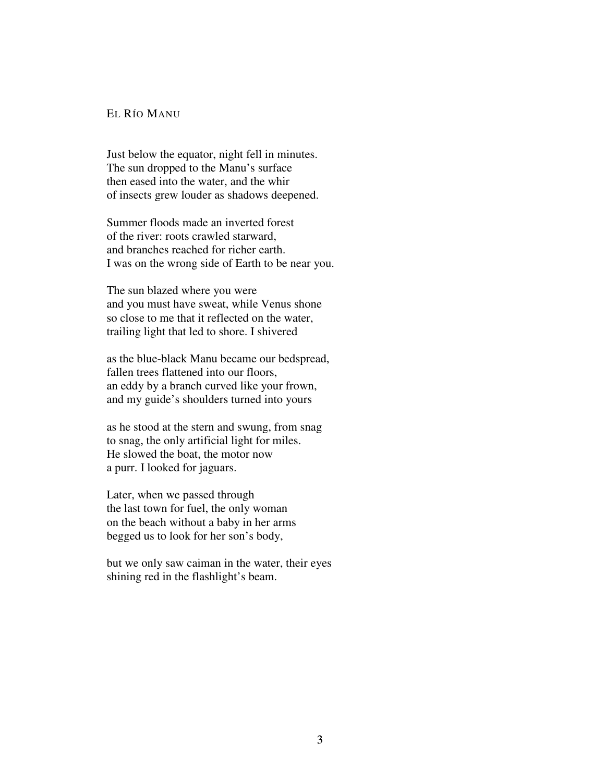## EL RÍO MANU

Just below the equator, night fell in minutes. The sun dropped to the Manu's surface then eased into the water, and the whir of insects grew louder as shadows deepened.

Summer floods made an inverted forest of the river: roots crawled starward, and branches reached for richer earth. I was on the wrong side of Earth to be near you.

The sun blazed where you were and you must have sweat, while Venus shone so close to me that it reflected on the water, trailing light that led to shore. I shivered

as the blue-black Manu became our bedspread, fallen trees flattened into our floors, an eddy by a branch curved like your frown, and my guide's shoulders turned into yours

as he stood at the stern and swung, from snag to snag, the only artificial light for miles. He slowed the boat, the motor now a purr. I looked for jaguars.

Later, when we passed through the last town for fuel, the only woman on the beach without a baby in her arms begged us to look for her son's body,

but we only saw caiman in the water, their eyes shining red in the flashlight's beam.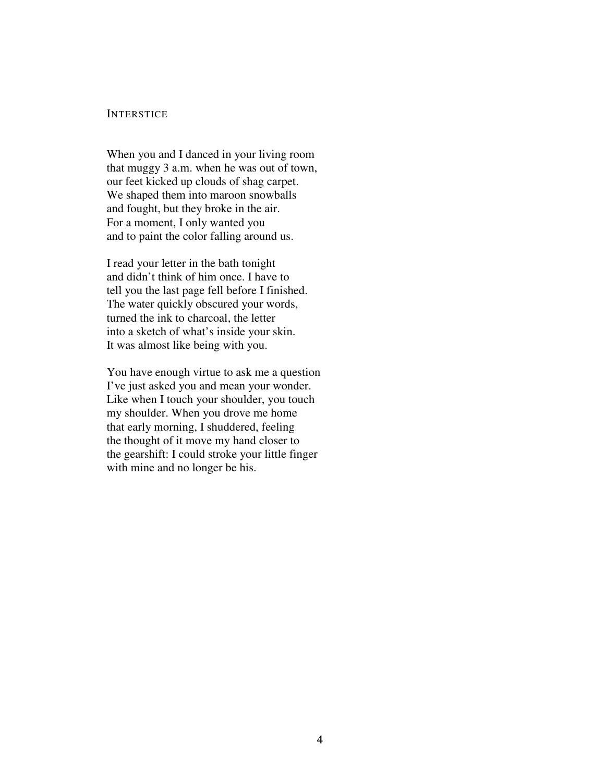### **INTERSTICE**

When you and I danced in your living room that muggy 3 a.m. when he was out of town, our feet kicked up clouds of shag carpet. We shaped them into maroon snowballs and fought, but they broke in the air. For a moment, I only wanted you and to paint the color falling around us.

I read your letter in the bath tonight and didn't think of him once. I have to tell you the last page fell before I finished. The water quickly obscured your words, turned the ink to charcoal, the letter into a sketch of what's inside your skin. It was almost like being with you.

You have enough virtue to ask me a question I've just asked you and mean your wonder. Like when I touch your shoulder, you touch my shoulder. When you drove me home that early morning, I shuddered, feeling the thought of it move my hand closer to the gearshift: I could stroke your little finger with mine and no longer be his.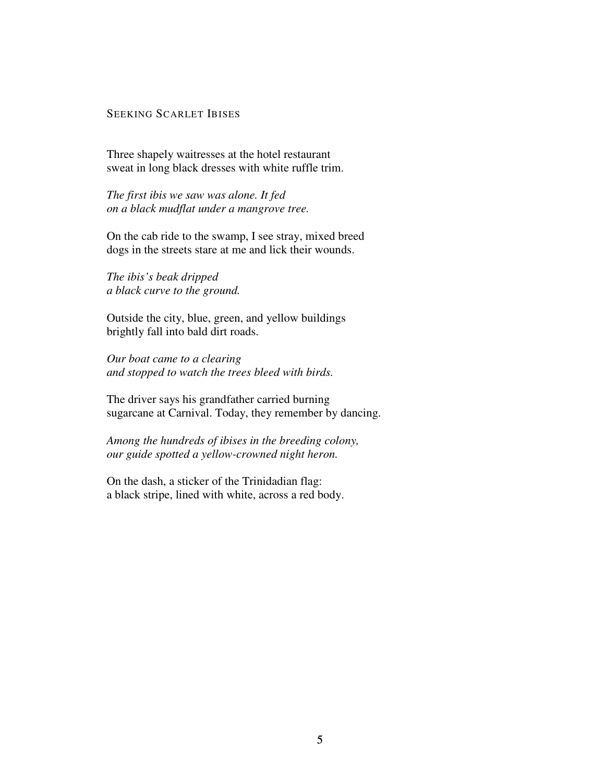# SEEKING SCARLET IBISES

Three shapely waitresses at the hotel restaurant sweat in long black dresses with white ruffle trim.

*The first ibis we saw was alone. It fed on a black mudflat under a mangrove tree.* 

On the cab ride to the swamp, I see stray, mixed breed dogs in the streets stare at me and lick their wounds.

*The ibis's beak dripped a black curve to the ground.* 

Outside the city, blue, green, and yellow buildings brightly fall into bald dirt roads.

*Our boat came to a clearing and stopped to watch the trees bleed with birds.* 

The driver says his grandfather carried burning sugarcane at Carnival. Today, they remember by dancing.

*Among the hundreds of ibises in the breeding colony, our guide spotted a yellow-crowned night heron.* 

On the dash, a sticker of the Trinidadian flag: a black stripe, lined with white, across a red body.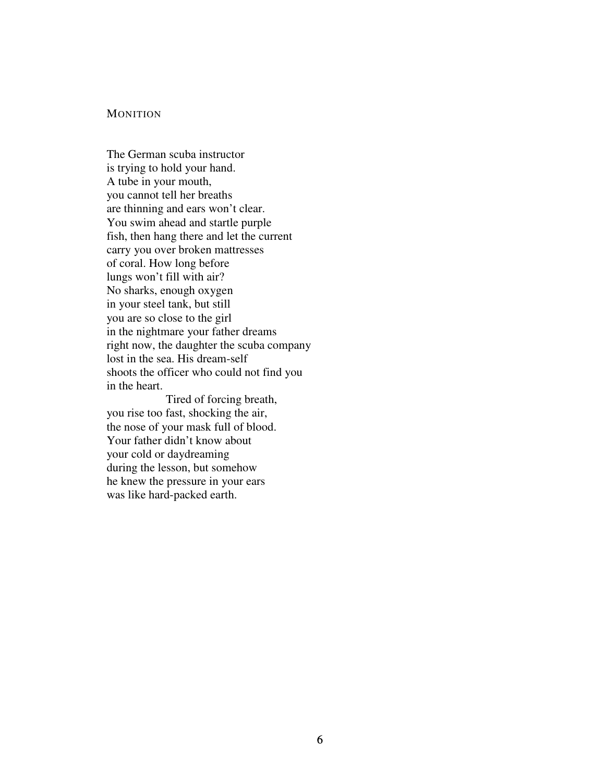#### **MONITION**

The German scuba instructor is trying to hold your hand. A tube in your mouth, you cannot tell her breaths are thinning and ears won't clear. You swim ahead and startle purple fish, then hang there and let the current carry you over broken mattresses of coral. How long before lungs won't fill with air? No sharks, enough oxygen in your steel tank, but still you are so close to the girl in the nightmare your father dreams right now, the daughter the scuba company lost in the sea. His dream-self shoots the officer who could not find you in the heart.

 Tired of forcing breath, you rise too fast, shocking the air, the nose of your mask full of blood. Your father didn't know about your cold or daydreaming during the lesson, but somehow he knew the pressure in your ears was like hard-packed earth.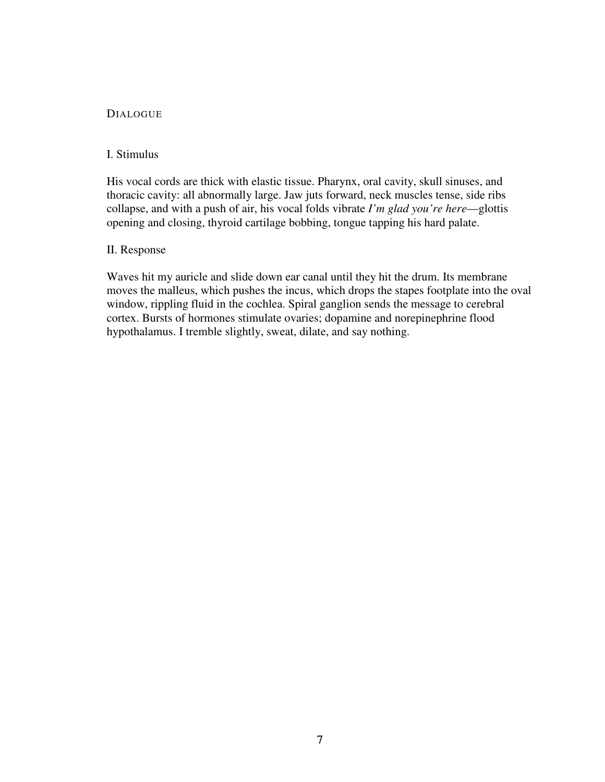# **DIALOGUE**

# I. Stimulus

His vocal cords are thick with elastic tissue. Pharynx, oral cavity, skull sinuses, and thoracic cavity: all abnormally large. Jaw juts forward, neck muscles tense, side ribs collapse, and with a push of air, his vocal folds vibrate *I'm glad you're here*—glottis opening and closing, thyroid cartilage bobbing, tongue tapping his hard palate.

# II. Response

Waves hit my auricle and slide down ear canal until they hit the drum. Its membrane moves the malleus, which pushes the incus, which drops the stapes footplate into the oval window, rippling fluid in the cochlea. Spiral ganglion sends the message to cerebral cortex. Bursts of hormones stimulate ovaries; dopamine and norepinephrine flood hypothalamus. I tremble slightly, sweat, dilate, and say nothing.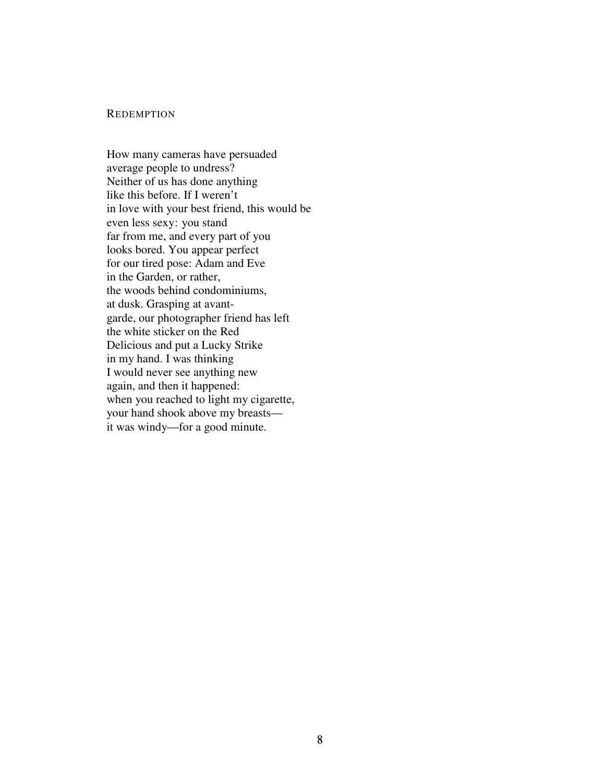#### **REDEMPTION**

How many cameras have persuaded average people to undress? Neither of us has done anything like this before. If I weren't in love with your best friend, this would be even less sexy: you stand far from me, and every part of you looks bored. You appear perfect for our tired pose: Adam and Eve in the Garden, or rather, the woods behind condominiums, at dusk. Grasping at avantgarde, our photographer friend has left the white sticker on the Red Delicious and put a Lucky Strike in my hand. I was thinking I would never see anything new again, and then it happened: when you reached to light my cigarette, your hand shook above my breasts it was windy—for a good minute.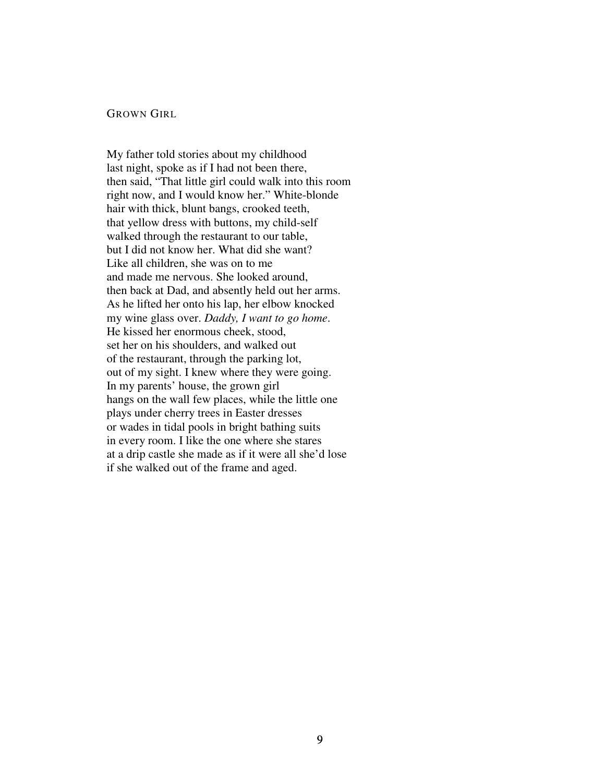#### GROWN GIRL

My father told stories about my childhood last night, spoke as if I had not been there, then said, "That little girl could walk into this room right now, and I would know her." White-blonde hair with thick, blunt bangs, crooked teeth, that yellow dress with buttons, my child-self walked through the restaurant to our table, but I did not know her. What did she want? Like all children, she was on to me and made me nervous. She looked around, then back at Dad, and absently held out her arms. As he lifted her onto his lap, her elbow knocked my wine glass over. *Daddy, I want to go home*. He kissed her enormous cheek, stood, set her on his shoulders, and walked out of the restaurant, through the parking lot, out of my sight. I knew where they were going. In my parents' house, the grown girl hangs on the wall few places, while the little one plays under cherry trees in Easter dresses or wades in tidal pools in bright bathing suits in every room. I like the one where she stares at a drip castle she made as if it were all she'd lose if she walked out of the frame and aged.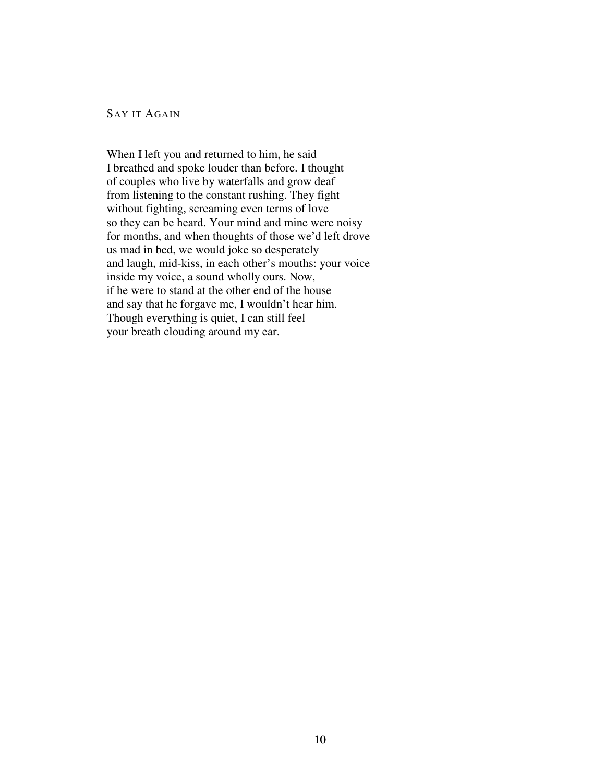# SAY IT AGAIN

When I left you and returned to him, he said I breathed and spoke louder than before. I thought of couples who live by waterfalls and grow deaf from listening to the constant rushing. They fight without fighting, screaming even terms of love so they can be heard. Your mind and mine were noisy for months, and when thoughts of those we'd left drove us mad in bed, we would joke so desperately and laugh, mid-kiss, in each other's mouths: your voice inside my voice, a sound wholly ours. Now, if he were to stand at the other end of the house and say that he forgave me, I wouldn't hear him. Though everything is quiet, I can still feel your breath clouding around my ear.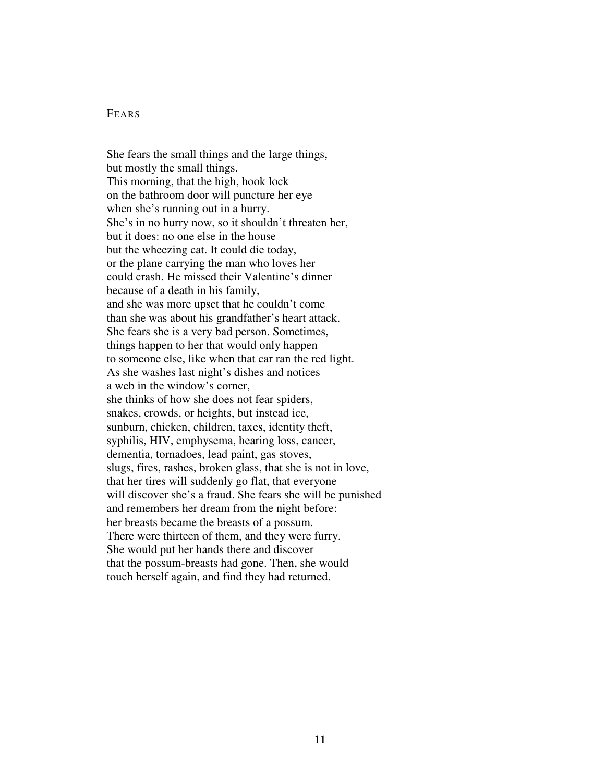# FEARS

She fears the small things and the large things, but mostly the small things. This morning, that the high, hook lock on the bathroom door will puncture her eye when she's running out in a hurry. She's in no hurry now, so it shouldn't threaten her, but it does: no one else in the house but the wheezing cat. It could die today, or the plane carrying the man who loves her could crash. He missed their Valentine's dinner because of a death in his family, and she was more upset that he couldn't come than she was about his grandfather's heart attack. She fears she is a very bad person. Sometimes, things happen to her that would only happen to someone else, like when that car ran the red light. As she washes last night's dishes and notices a web in the window's corner, she thinks of how she does not fear spiders, snakes, crowds, or heights, but instead ice, sunburn, chicken, children, taxes, identity theft, syphilis, HIV, emphysema, hearing loss, cancer, dementia, tornadoes, lead paint, gas stoves, slugs, fires, rashes, broken glass, that she is not in love, that her tires will suddenly go flat, that everyone will discover she's a fraud. She fears she will be punished and remembers her dream from the night before: her breasts became the breasts of a possum. There were thirteen of them, and they were furry. She would put her hands there and discover that the possum-breasts had gone. Then, she would touch herself again, and find they had returned.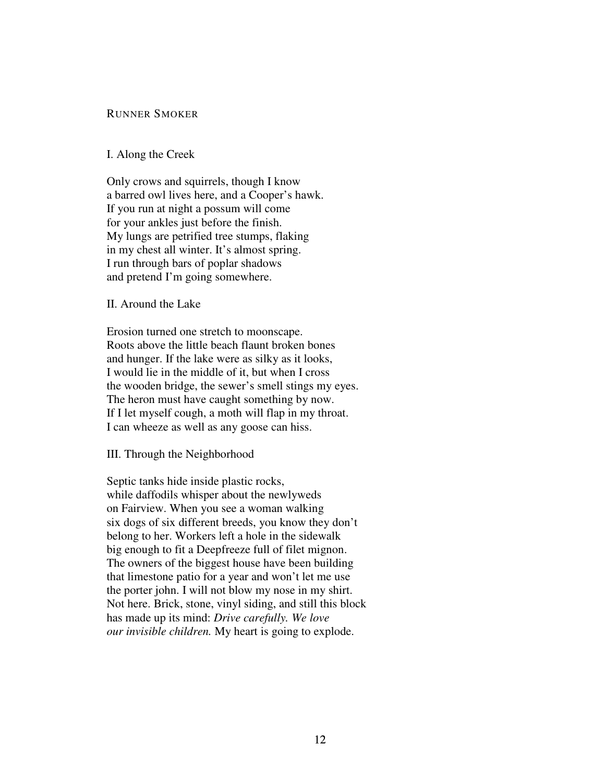# RUNNER SMOKER

#### I. Along the Creek

Only crows and squirrels, though I know a barred owl lives here, and a Cooper's hawk. If you run at night a possum will come for your ankles just before the finish. My lungs are petrified tree stumps, flaking in my chest all winter. It's almost spring. I run through bars of poplar shadows and pretend I'm going somewhere.

# II. Around the Lake

Erosion turned one stretch to moonscape. Roots above the little beach flaunt broken bones and hunger. If the lake were as silky as it looks, I would lie in the middle of it, but when I cross the wooden bridge, the sewer's smell stings my eyes. The heron must have caught something by now. If I let myself cough, a moth will flap in my throat. I can wheeze as well as any goose can hiss.

III. Through the Neighborhood

Septic tanks hide inside plastic rocks, while daffodils whisper about the newlyweds on Fairview. When you see a woman walking six dogs of six different breeds, you know they don't belong to her. Workers left a hole in the sidewalk big enough to fit a Deepfreeze full of filet mignon. The owners of the biggest house have been building that limestone patio for a year and won't let me use the porter john. I will not blow my nose in my shirt. Not here. Brick, stone, vinyl siding, and still this block has made up its mind: *Drive carefully. We love our invisible children.* My heart is going to explode.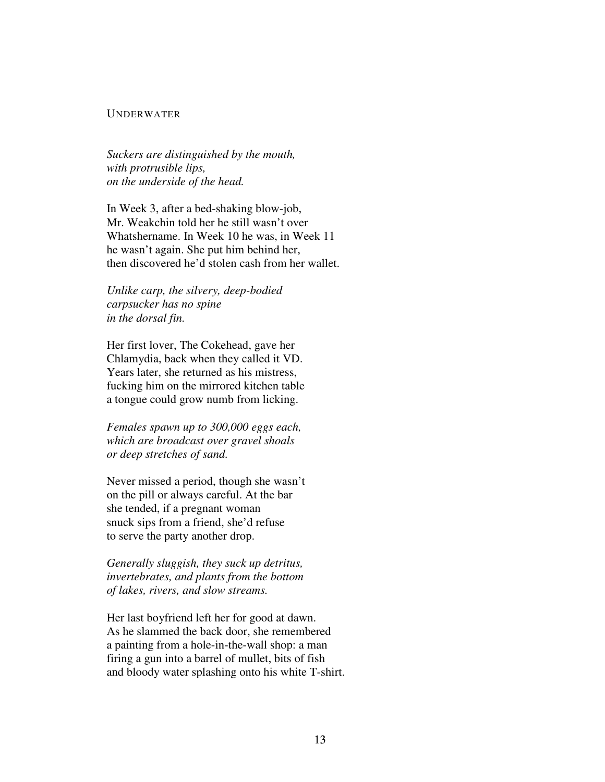## UNDERWATER

*Suckers are distinguished by the mouth, with protrusible lips, on the underside of the head.* 

In Week 3, after a bed-shaking blow-job, Mr. Weakchin told her he still wasn't over Whatshername. In Week 10 he was, in Week 11 he wasn't again. She put him behind her, then discovered he'd stolen cash from her wallet.

*Unlike carp, the silvery, deep-bodied carpsucker has no spine in the dorsal fin.* 

Her first lover, The Cokehead, gave her Chlamydia, back when they called it VD. Years later, she returned as his mistress, fucking him on the mirrored kitchen table a tongue could grow numb from licking.

*Females spawn up to 300,000 eggs each, which are broadcast over gravel shoals or deep stretches of sand.* 

Never missed a period, though she wasn't on the pill or always careful. At the bar she tended, if a pregnant woman snuck sips from a friend, she'd refuse to serve the party another drop.

*Generally sluggish, they suck up detritus, invertebrates, and plants from the bottom of lakes, rivers, and slow streams.* 

Her last boyfriend left her for good at dawn. As he slammed the back door, she remembered a painting from a hole-in-the-wall shop: a man firing a gun into a barrel of mullet, bits of fish and bloody water splashing onto his white T-shirt.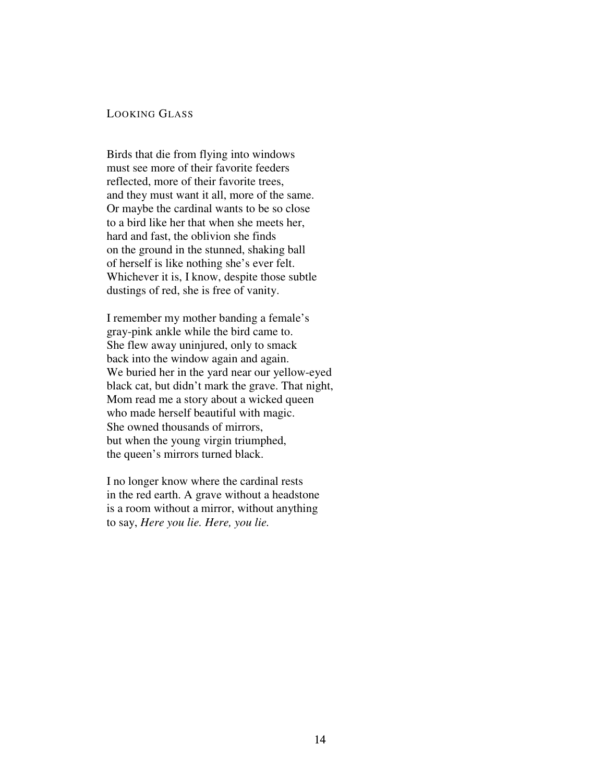# LOOKING GLASS

Birds that die from flying into windows must see more of their favorite feeders reflected, more of their favorite trees, and they must want it all, more of the same. Or maybe the cardinal wants to be so close to a bird like her that when she meets her, hard and fast, the oblivion she finds on the ground in the stunned, shaking ball of herself is like nothing she's ever felt. Whichever it is, I know, despite those subtle dustings of red, she is free of vanity.

I remember my mother banding a female's gray-pink ankle while the bird came to. She flew away uninjured, only to smack back into the window again and again. We buried her in the yard near our yellow-eyed black cat, but didn't mark the grave. That night, Mom read me a story about a wicked queen who made herself beautiful with magic. She owned thousands of mirrors, but when the young virgin triumphed, the queen's mirrors turned black.

I no longer know where the cardinal rests in the red earth. A grave without a headstone is a room without a mirror, without anything to say, *Here you lie. Here, you lie.*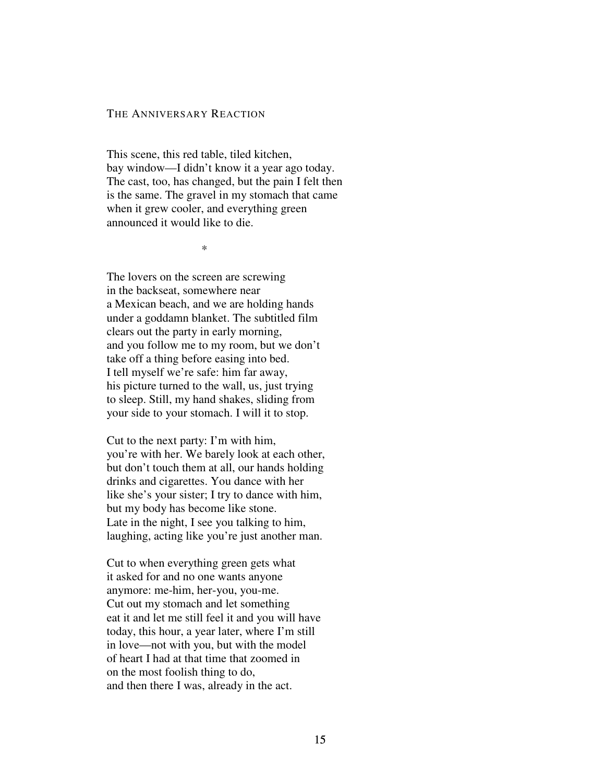#### THE ANNIVERSARY REACTION

This scene, this red table, tiled kitchen, bay window—I didn't know it a year ago today. The cast, too, has changed, but the pain I felt then is the same. The gravel in my stomach that came when it grew cooler, and everything green announced it would like to die.

 $*$ 

The lovers on the screen are screwing in the backseat, somewhere near a Mexican beach, and we are holding hands under a goddamn blanket. The subtitled film clears out the party in early morning, and you follow me to my room, but we don't take off a thing before easing into bed. I tell myself we're safe: him far away, his picture turned to the wall, us, just trying to sleep. Still, my hand shakes, sliding from your side to your stomach. I will it to stop.

Cut to the next party: I'm with him, you're with her. We barely look at each other, but don't touch them at all, our hands holding drinks and cigarettes. You dance with her like she's your sister; I try to dance with him, but my body has become like stone. Late in the night, I see you talking to him, laughing, acting like you're just another man.

Cut to when everything green gets what it asked for and no one wants anyone anymore: me-him, her-you, you-me. Cut out my stomach and let something eat it and let me still feel it and you will have today, this hour, a year later, where I'm still in love—not with you, but with the model of heart I had at that time that zoomed in on the most foolish thing to do, and then there I was, already in the act.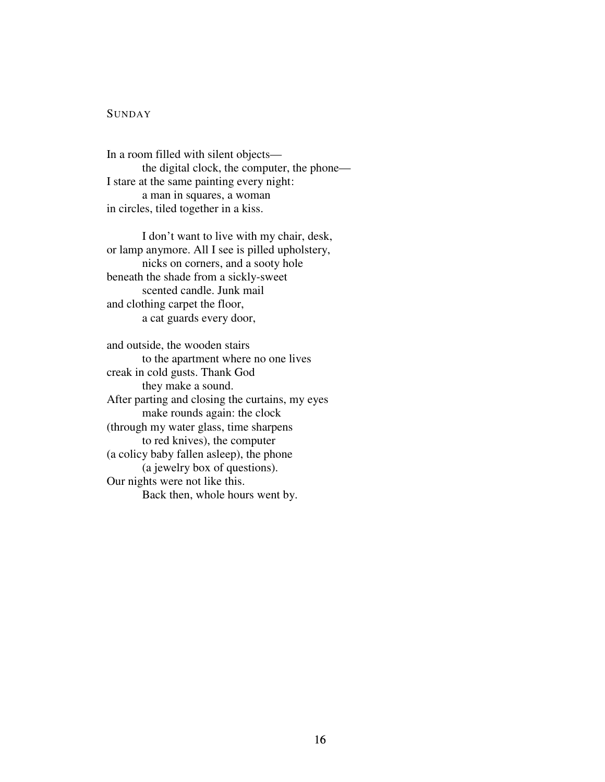# **SUNDAY**

In a room filled with silent objects the digital clock, the computer, the phone— I stare at the same painting every night: a man in squares, a woman in circles, tiled together in a kiss.

I don't want to live with my chair, desk, or lamp anymore. All I see is pilled upholstery, nicks on corners, and a sooty hole beneath the shade from a sickly-sweet scented candle. Junk mail and clothing carpet the floor, a cat guards every door,

and outside, the wooden stairs to the apartment where no one lives creak in cold gusts. Thank God they make a sound. After parting and closing the curtains, my eyes make rounds again: the clock (through my water glass, time sharpens to red knives), the computer (a colicy baby fallen asleep), the phone (a jewelry box of questions). Our nights were not like this. Back then, whole hours went by.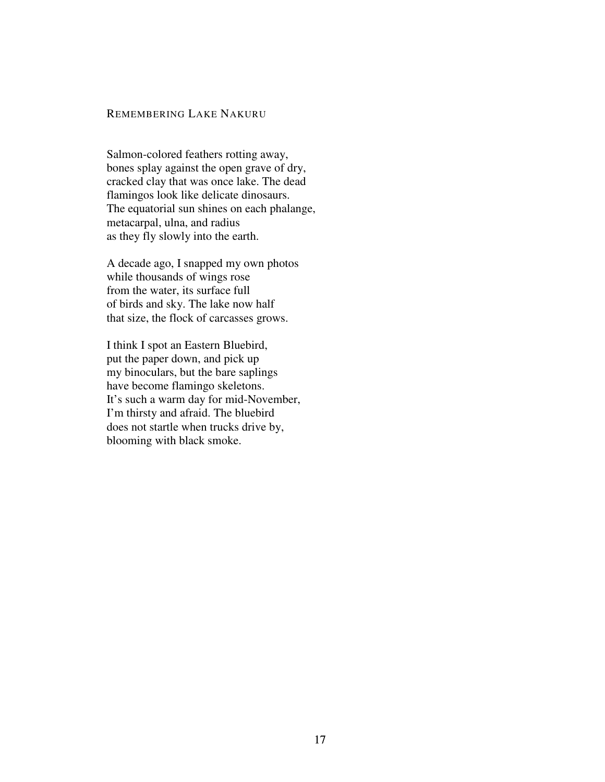### REMEMBERING LAKE NAKURU

Salmon-colored feathers rotting away, bones splay against the open grave of dry, cracked clay that was once lake. The dead flamingos look like delicate dinosaurs. The equatorial sun shines on each phalange, metacarpal, ulna, and radius as they fly slowly into the earth.

A decade ago, I snapped my own photos while thousands of wings rose from the water, its surface full of birds and sky. The lake now half that size, the flock of carcasses grows.

I think I spot an Eastern Bluebird, put the paper down, and pick up my binoculars, but the bare saplings have become flamingo skeletons. It's such a warm day for mid-November, I'm thirsty and afraid. The bluebird does not startle when trucks drive by, blooming with black smoke.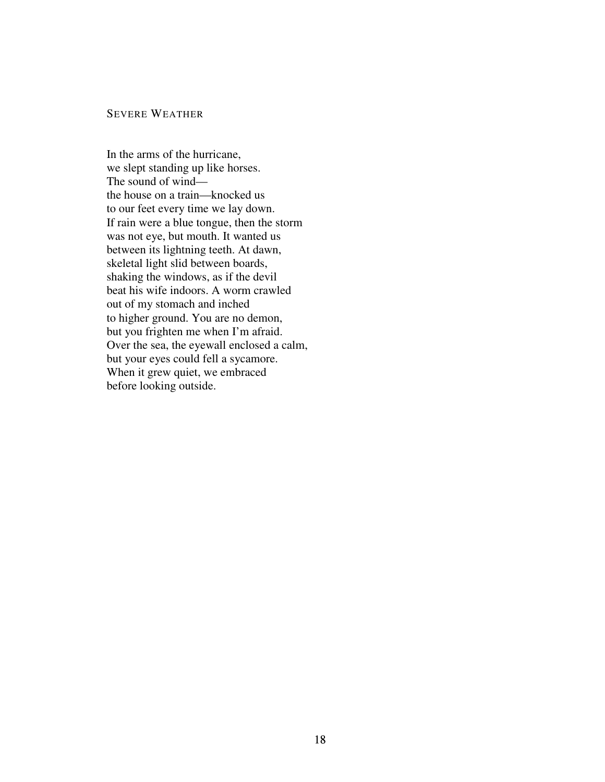#### SEVERE WEATHER

In the arms of the hurricane, we slept standing up like horses. The sound of wind the house on a train—knocked us to our feet every time we lay down. If rain were a blue tongue, then the storm was not eye, but mouth. It wanted us between its lightning teeth. At dawn, skeletal light slid between boards, shaking the windows, as if the devil beat his wife indoors. A worm crawled out of my stomach and inched to higher ground. You are no demon, but you frighten me when I'm afraid. Over the sea, the eyewall enclosed a calm, but your eyes could fell a sycamore. When it grew quiet, we embraced before looking outside.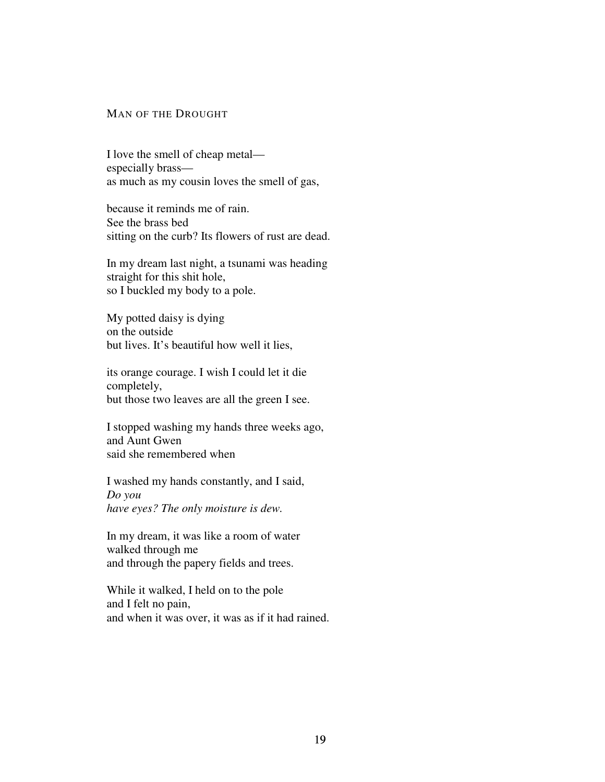### MAN OF THE DROUGHT

I love the smell of cheap metal especially brass as much as my cousin loves the smell of gas,

because it reminds me of rain. See the brass bed sitting on the curb? Its flowers of rust are dead.

In my dream last night, a tsunami was heading straight for this shit hole, so I buckled my body to a pole.

My potted daisy is dying on the outside but lives. It's beautiful how well it lies,

its orange courage. I wish I could let it die completely, but those two leaves are all the green I see.

I stopped washing my hands three weeks ago, and Aunt Gwen said she remembered when

I washed my hands constantly, and I said, *Do you have eyes? The only moisture is dew.*

In my dream, it was like a room of water walked through me and through the papery fields and trees.

While it walked, I held on to the pole and I felt no pain, and when it was over, it was as if it had rained.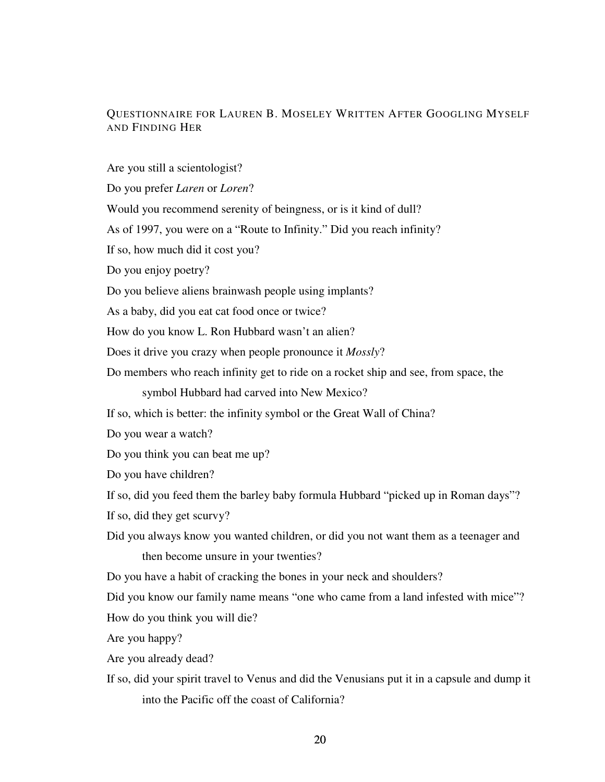# QUESTIONNAIRE FOR LAUREN B. MOSELEY WRITTEN AFTER GOOGLING MYSELF AND FINDING HER

Are you still a scientologist?

Do you prefer *Laren* or *Loren*?

Would you recommend serenity of beingness, or is it kind of dull?

As of 1997, you were on a "Route to Infinity." Did you reach infinity?

If so, how much did it cost you?

Do you enjoy poetry?

Do you believe aliens brainwash people using implants?

As a baby, did you eat cat food once or twice?

How do you know L. Ron Hubbard wasn't an alien?

Does it drive you crazy when people pronounce it *Mossly*?

Do members who reach infinity get to ride on a rocket ship and see, from space, the

symbol Hubbard had carved into New Mexico?

If so, which is better: the infinity symbol or the Great Wall of China?

Do you wear a watch?

Do you think you can beat me up?

Do you have children?

If so, did you feed them the barley baby formula Hubbard "picked up in Roman days"?

If so, did they get scurvy?

Did you always know you wanted children, or did you not want them as a teenager and then become unsure in your twenties?

Do you have a habit of cracking the bones in your neck and shoulders?

Did you know our family name means "one who came from a land infested with mice"? How do you think you will die?

Are you happy?

Are you already dead?

If so, did your spirit travel to Venus and did the Venusians put it in a capsule and dump it into the Pacific off the coast of California?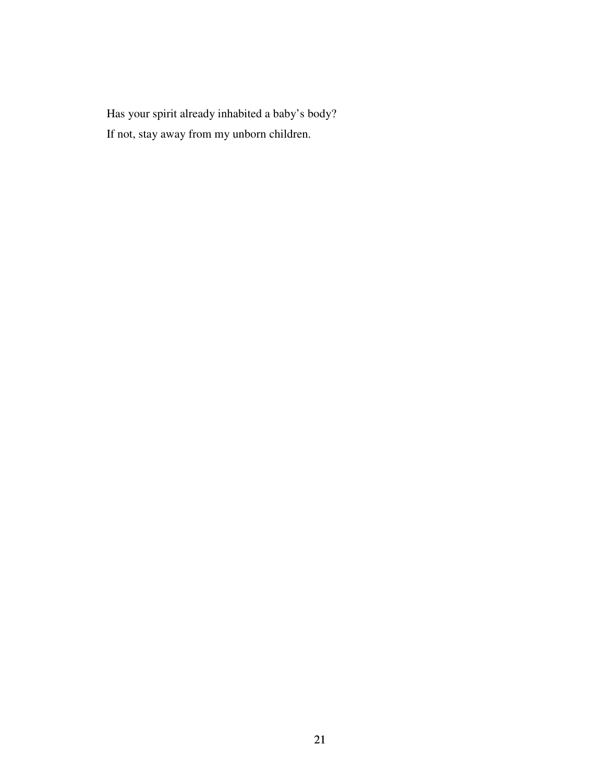Has your spirit already inhabited a baby's body? If not, stay away from my unborn children.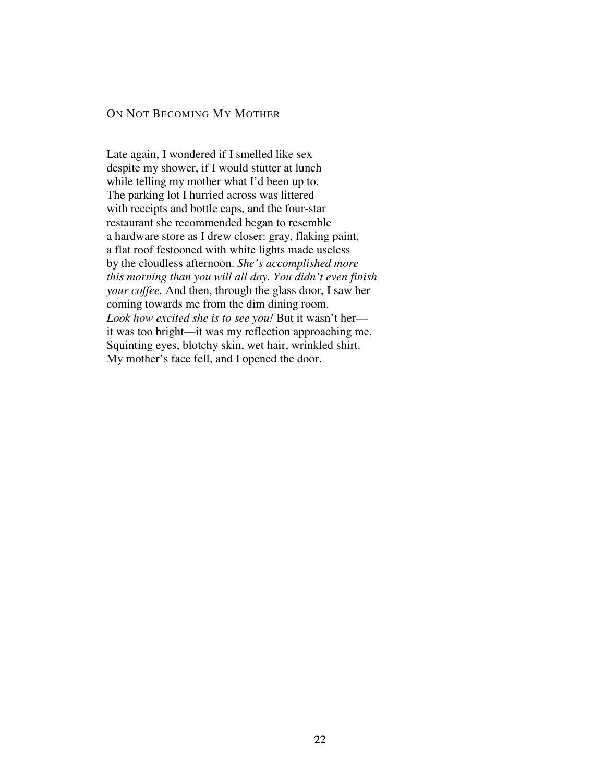## ON NOT BECOMING MY MOTHER

Late again, I wondered if I smelled like sex despite my shower, if I would stutter at lunch while telling my mother what I'd been up to. The parking lot I hurried across was littered with receipts and bottle caps, and the four-star restaurant she recommended began to resemble a hardware store as I drew closer: gray, flaking paint, a flat roof festooned with white lights made useless by the cloudless afternoon. *She's accomplished more this morning than you will all day. You didn't even finish your coffee.* And then, through the glass door, I saw her coming towards me from the dim dining room. *Look how excited she is to see you!* But it wasn't her it was too bright—it was my reflection approaching me. Squinting eyes, blotchy skin, wet hair, wrinkled shirt. My mother's face fell, and I opened the door.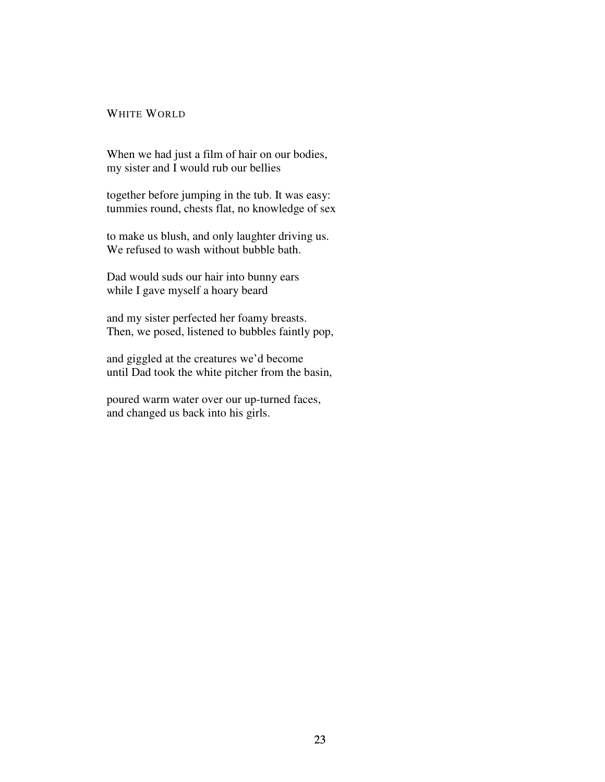### WHITE WORLD

When we had just a film of hair on our bodies, my sister and I would rub our bellies

together before jumping in the tub. It was easy: tummies round, chests flat, no knowledge of sex

to make us blush, and only laughter driving us. We refused to wash without bubble bath.

Dad would suds our hair into bunny ears while I gave myself a hoary beard

and my sister perfected her foamy breasts. Then, we posed, listened to bubbles faintly pop,

and giggled at the creatures we'd become until Dad took the white pitcher from the basin,

poured warm water over our up-turned faces, and changed us back into his girls.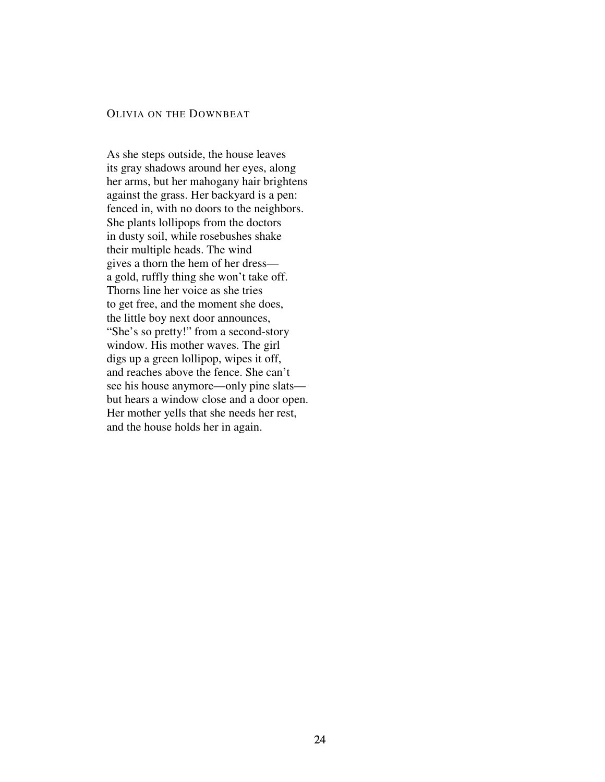#### OLIVIA ON THE DOWNBEAT

As she steps outside, the house leaves its gray shadows around her eyes, along her arms, but her mahogany hair brightens against the grass. Her backyard is a pen: fenced in, with no doors to the neighbors. She plants lollipops from the doctors in dusty soil, while rosebushes shake their multiple heads. The wind gives a thorn the hem of her dress a gold, ruffly thing she won't take off. Thorns line her voice as she tries to get free, and the moment she does, the little boy next door announces, "She's so pretty!" from a second-story window. His mother waves. The girl digs up a green lollipop, wipes it off, and reaches above the fence. She can't see his house anymore—only pine slats but hears a window close and a door open. Her mother yells that she needs her rest, and the house holds her in again.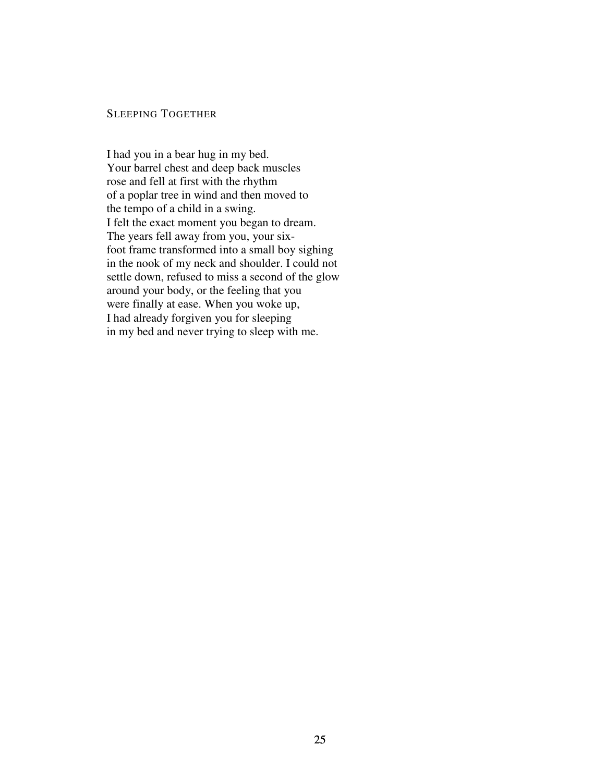# SLEEPING TOGETHER

I had you in a bear hug in my bed. Your barrel chest and deep back muscles rose and fell at first with the rhythm of a poplar tree in wind and then moved to the tempo of a child in a swing. I felt the exact moment you began to dream. The years fell away from you, your sixfoot frame transformed into a small boy sighing in the nook of my neck and shoulder. I could not settle down, refused to miss a second of the glow around your body, or the feeling that you were finally at ease. When you woke up, I had already forgiven you for sleeping in my bed and never trying to sleep with me.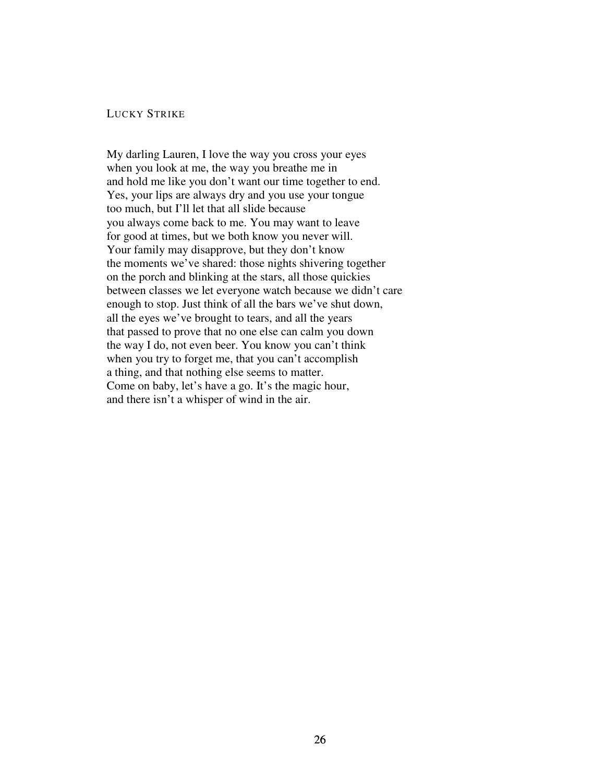### LUCKY STRIKE

My darling Lauren, I love the way you cross your eyes when you look at me, the way you breathe me in and hold me like you don't want our time together to end. Yes, your lips are always dry and you use your tongue too much, but I'll let that all slide because you always come back to me. You may want to leave for good at times, but we both know you never will. Your family may disapprove, but they don't know the moments we've shared: those nights shivering together on the porch and blinking at the stars, all those quickies between classes we let everyone watch because we didn't care enough to stop. Just think of all the bars we've shut down, all the eyes we've brought to tears, and all the years that passed to prove that no one else can calm you down the way I do, not even beer. You know you can't think when you try to forget me, that you can't accomplish a thing, and that nothing else seems to matter. Come on baby, let's have a go. It's the magic hour, and there isn't a whisper of wind in the air.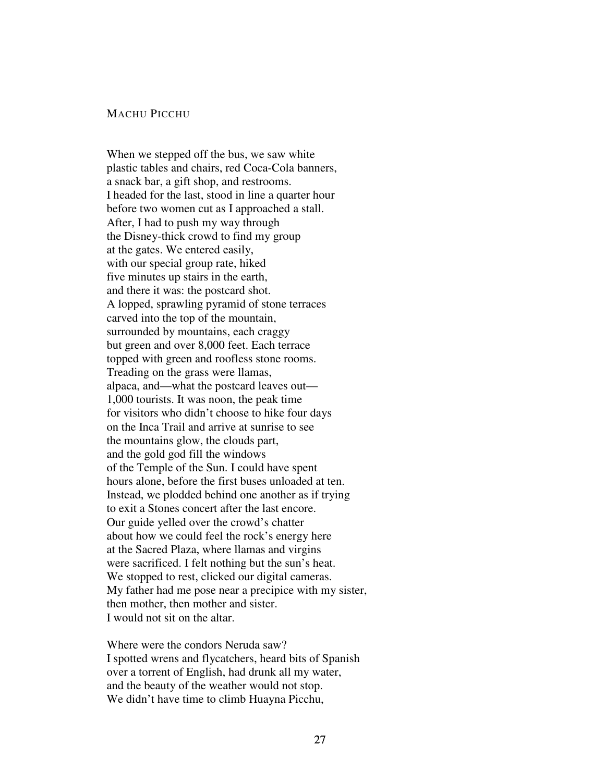### MACHU PICCHU

When we stepped off the bus, we saw white plastic tables and chairs, red Coca-Cola banners, a snack bar, a gift shop, and restrooms. I headed for the last, stood in line a quarter hour before two women cut as I approached a stall. After, I had to push my way through the Disney-thick crowd to find my group at the gates. We entered easily, with our special group rate, hiked five minutes up stairs in the earth, and there it was: the postcard shot. A lopped, sprawling pyramid of stone terraces carved into the top of the mountain, surrounded by mountains, each craggy but green and over 8,000 feet. Each terrace topped with green and roofless stone rooms. Treading on the grass were llamas, alpaca, and—what the postcard leaves out— 1,000 tourists. It was noon, the peak time for visitors who didn't choose to hike four days on the Inca Trail and arrive at sunrise to see the mountains glow, the clouds part, and the gold god fill the windows of the Temple of the Sun. I could have spent hours alone, before the first buses unloaded at ten. Instead, we plodded behind one another as if trying to exit a Stones concert after the last encore. Our guide yelled over the crowd's chatter about how we could feel the rock's energy here at the Sacred Plaza, where llamas and virgins were sacrificed. I felt nothing but the sun's heat. We stopped to rest, clicked our digital cameras. My father had me pose near a precipice with my sister, then mother, then mother and sister. I would not sit on the altar.

Where were the condors Neruda saw? I spotted wrens and flycatchers, heard bits of Spanish over a torrent of English, had drunk all my water, and the beauty of the weather would not stop. We didn't have time to climb Huayna Picchu,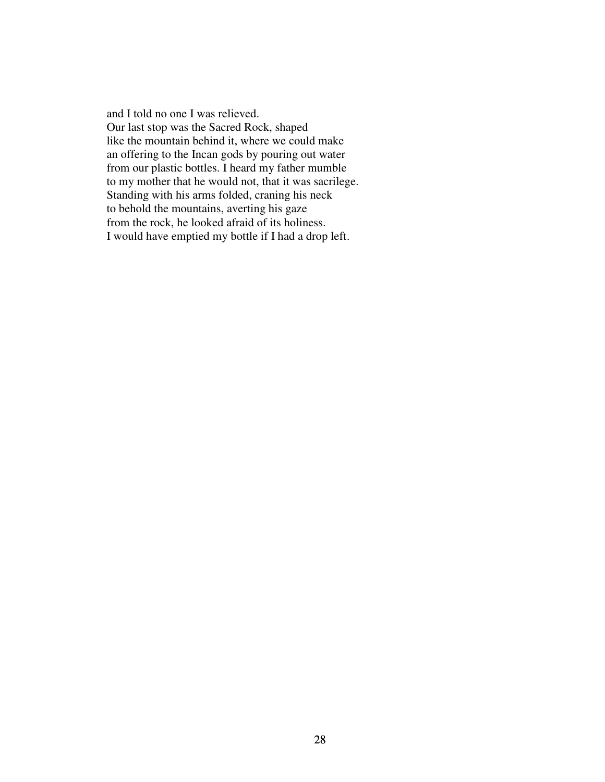and I told no one I was relieved. Our last stop was the Sacred Rock, shaped like the mountain behind it, where we could make an offering to the Incan gods by pouring out water from our plastic bottles. I heard my father mumble to my mother that he would not, that it was sacrilege. Standing with his arms folded, craning his neck to behold the mountains, averting his gaze from the rock, he looked afraid of its holiness. I would have emptied my bottle if I had a drop left.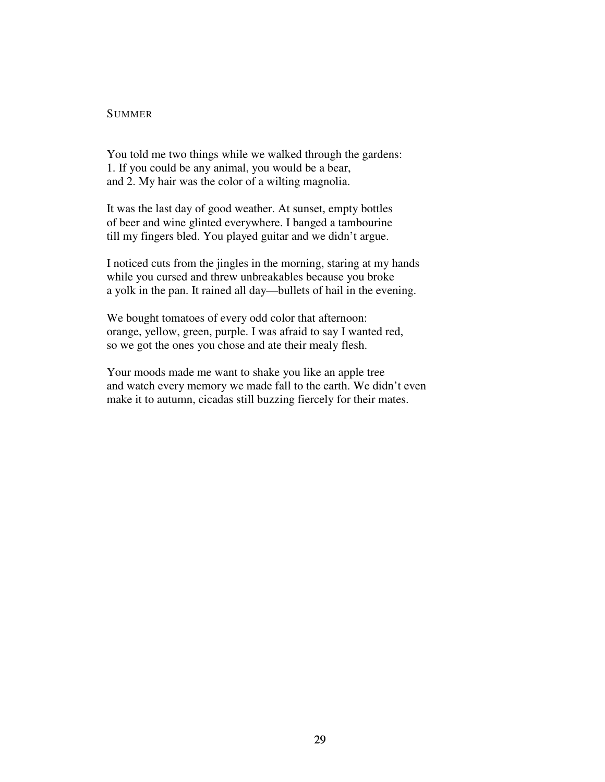#### **SUMMER**

You told me two things while we walked through the gardens: 1. If you could be any animal, you would be a bear, and 2. My hair was the color of a wilting magnolia.

It was the last day of good weather. At sunset, empty bottles of beer and wine glinted everywhere. I banged a tambourine till my fingers bled. You played guitar and we didn't argue.

I noticed cuts from the jingles in the morning, staring at my hands while you cursed and threw unbreakables because you broke a yolk in the pan. It rained all day—bullets of hail in the evening.

We bought tomatoes of every odd color that afternoon: orange, yellow, green, purple. I was afraid to say I wanted red, so we got the ones you chose and ate their mealy flesh.

Your moods made me want to shake you like an apple tree and watch every memory we made fall to the earth. We didn't even make it to autumn, cicadas still buzzing fiercely for their mates.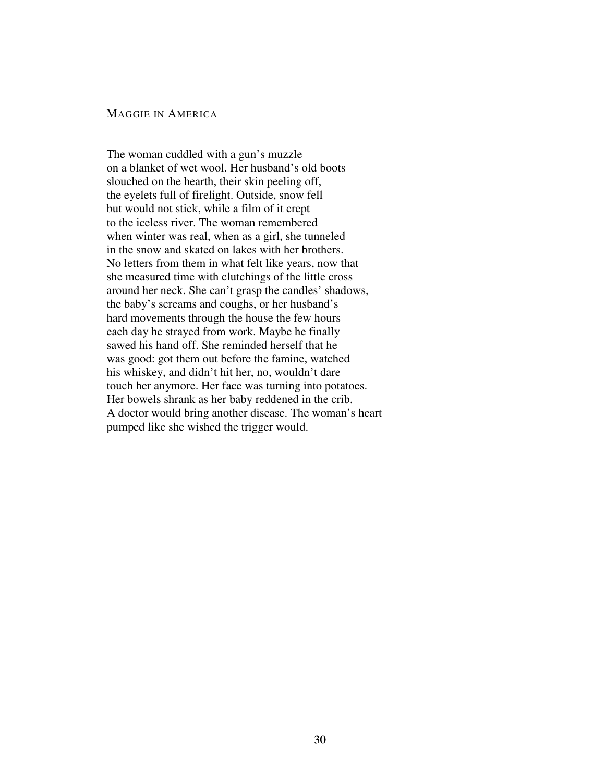# MAGGIE IN AMERICA

The woman cuddled with a gun's muzzle on a blanket of wet wool. Her husband's old boots slouched on the hearth, their skin peeling off, the eyelets full of firelight. Outside, snow fell but would not stick, while a film of it crept to the iceless river. The woman remembered when winter was real, when as a girl, she tunneled in the snow and skated on lakes with her brothers. No letters from them in what felt like years, now that she measured time with clutchings of the little cross around her neck. She can't grasp the candles' shadows, the baby's screams and coughs, or her husband's hard movements through the house the few hours each day he strayed from work. Maybe he finally sawed his hand off. She reminded herself that he was good: got them out before the famine, watched his whiskey, and didn't hit her, no, wouldn't dare touch her anymore. Her face was turning into potatoes. Her bowels shrank as her baby reddened in the crib. A doctor would bring another disease. The woman's heart pumped like she wished the trigger would.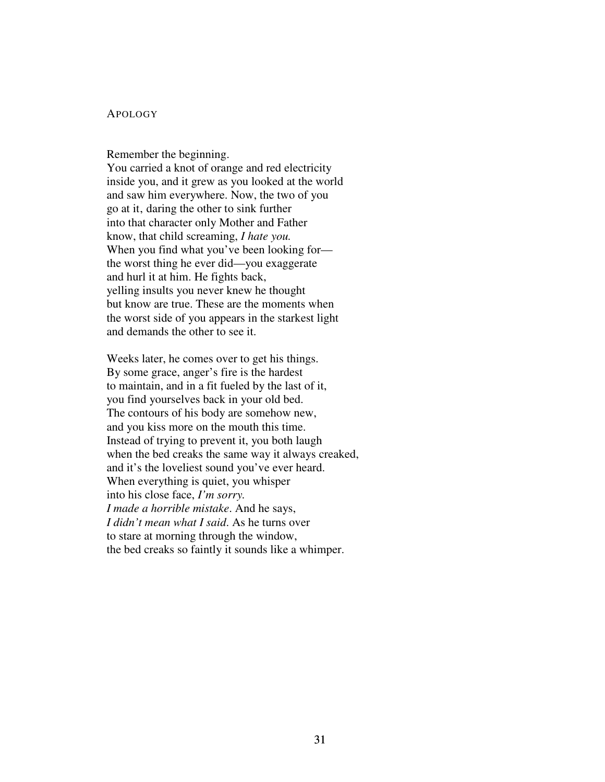# APOLOGY

Remember the beginning.

You carried a knot of orange and red electricity inside you, and it grew as you looked at the world and saw him everywhere. Now, the two of you go at it, daring the other to sink further into that character only Mother and Father know, that child screaming, *I hate you.* When you find what you've been looking for the worst thing he ever did—you exaggerate and hurl it at him. He fights back, yelling insults you never knew he thought but know are true. These are the moments when the worst side of you appears in the starkest light and demands the other to see it.

Weeks later, he comes over to get his things. By some grace, anger's fire is the hardest to maintain, and in a fit fueled by the last of it, you find yourselves back in your old bed. The contours of his body are somehow new, and you kiss more on the mouth this time. Instead of trying to prevent it, you both laugh when the bed creaks the same way it always creaked, and it's the loveliest sound you've ever heard. When everything is quiet, you whisper into his close face, *I'm sorry. I made a horrible mistake*. And he says, *I didn't mean what I said*. As he turns over to stare at morning through the window, the bed creaks so faintly it sounds like a whimper.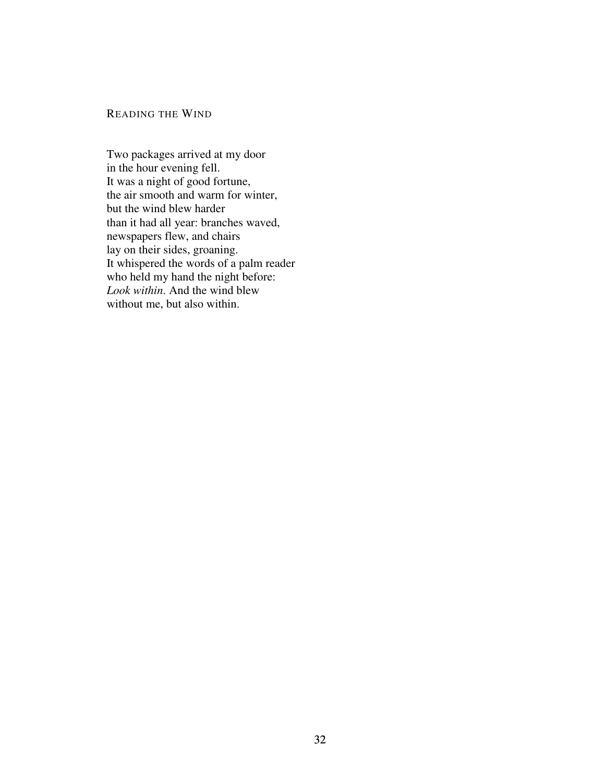# READING THE WIND

Two packages arrived at my door in the hour evening fell. It was a night of good fortune, the air smooth and warm for winter, but the wind blew harder than it had all year: branches waved, newspapers flew, and chairs lay on their sides, groaning. It whispered the words of a palm reader who held my hand the night before: *Look within*. And the wind blew without me, but also within.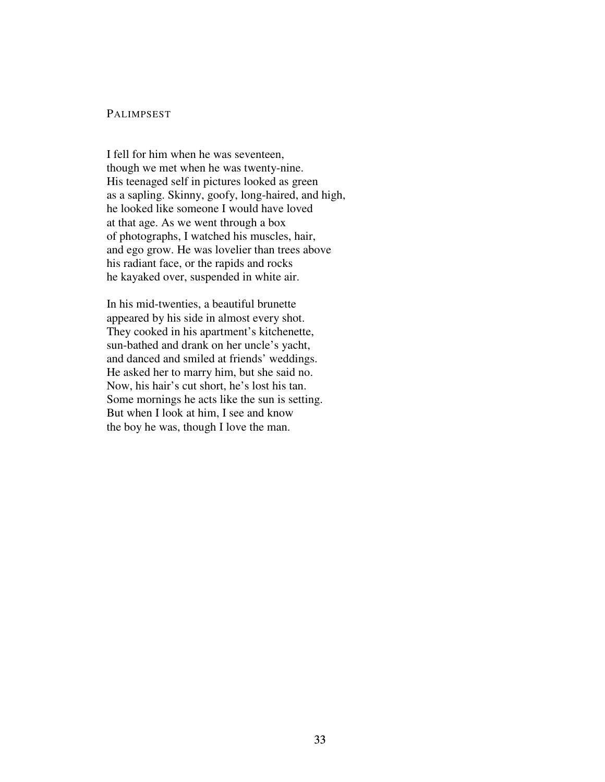## PALIMPSEST

I fell for him when he was seventeen, though we met when he was twenty-nine. His teenaged self in pictures looked as green as a sapling. Skinny, goofy, long-haired, and high, he looked like someone I would have loved at that age. As we went through a box of photographs, I watched his muscles, hair, and ego grow. He was lovelier than trees above his radiant face, or the rapids and rocks he kayaked over, suspended in white air.

In his mid-twenties, a beautiful brunette appeared by his side in almost every shot. They cooked in his apartment's kitchenette, sun-bathed and drank on her uncle's yacht, and danced and smiled at friends' weddings. He asked her to marry him, but she said no. Now, his hair's cut short, he's lost his tan. Some mornings he acts like the sun is setting. But when I look at him, I see and know the boy he was, though I love the man.